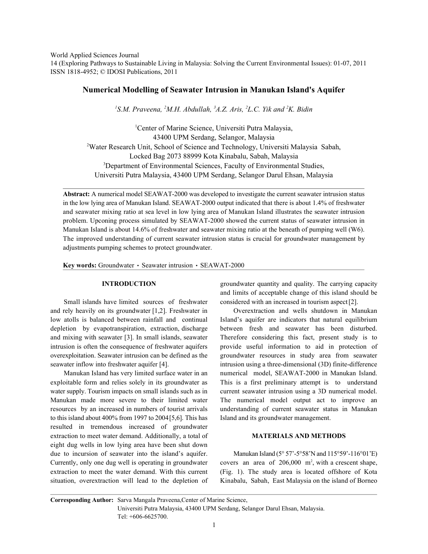World Applied Sciences Journal

14 (Exploring Pathways to Sustainable Living in Malaysia: Solving the Current Environmental Issues): 01-07, 2011 ISSN 1818-4952; © IDOSI Publications, 2011

# **Numerical Modelling of Seawater Intrusion in Manukan Island's Aquifer**

<sup>1</sup>S.M. Praveena, <sup>2</sup>M.H. Abdullah, <sup>3</sup>A.Z. Aris, <sup>2</sup>L.C. Yik and <sup>2</sup>K. Bidin

<sup>1</sup>Center of Marine Science, Universiti Putra Malaysia, 43400 UPM Serdang, Selangor, Malaysia <sup>2</sup>Water Research Unit, School of Science and Technology, Universiti Malaysia Sabah, Locked Bag 2073 88999 Kota Kinabalu, Sabah, Malaysia <sup>3</sup>Department of Environmental Sciences, Faculty of Environmental Studies, Universiti Putra Malaysia, 43400 UPM Serdang, Selangor Darul Ehsan, Malaysia

**Abstract:** A numerical model SEAWAT-2000 was developed to investigate the current seawater intrusion status in the low lying area of Manukan Island. SEAWAT-2000 output indicated that there is about 1.4% of freshwater and seawater mixing ratio at sea level in low lying area of Manukan Island illustrates the seawater intrusion problem. Upconing process simulated by SEAWAT-2000 showed the current status of seawater intrusion in Manukan Island is about 14.6% of freshwater and seawater mixing ratio at the beneath of pumping well (W6). The improved understanding of current seawater intrusion status is crucial for groundwater management by adjustments pumping schemes to protect groundwater.

Key words: Groundwater · Seawater intrusion · SEAWAT-2000

and rely heavily on its groundwater [1,2]. Freshwater in Overextraction and wells shutdown in Manukan depletion by evapotranspiration, extraction, discharge between fresh and seawater has been disturbed.

exploitable form and relies solely in its groundwater as This is a first preliminary attempt is to understand water supply. Tourism impacts on small islands such as in current seawater intrusion using a 3D numerical model. Manukan made more severe to their limited water The numerical model output act to improve an resources by an increased in numbers of tourist arrivals understanding of current seawater status in Manukan to this island about 400% from 1997 to 2004 [5,6]. This has Island and its groundwater management. resulted in tremendous increased of groundwater extraction to meet water demand. Additionally, a total of **MATERIALS AND METHODS** eight dug wells in low lying area have been shut down due to incursion of seawater into the island's aquifer. Manukan Island ( $5^{\circ}57'$ - $5^{\circ}58'$ N and  $115^{\circ}59'$ - $116^{\circ}01'$ E) Currently, only one dug well is operating in groundwater extraction to meet the water demand. With this current (Fig. 1). The study area is located offshore of Kota situation, overextraction will lead to the depletion of Kinabalu, Sabah, East Malaysia on the island of Borneo

**INTRODUCTION** groundwater quantity and quality. The carrying capacity Small islands have limited sources of freshwater considered with an increased in tourism aspect [2]. and limits of acceptable change of this island should be

low atolls is balanced between rainfall and continual Island's aquifer are indicators that natural equilibrium and mixing with seawater [3]. In small islands, seawater Therefore considering this fact, present study is to intrusion is often the consequence of freshwater aquifers provide useful information to aid in protection of overexploitation. Seawater intrusion can be defined as the groundwater resources in study area from seawater seawater inflow into freshwater aquifer [4]. intrusion using a three-dimensional (3D) finite-difference Manukan Island has very limited surface water in an numerical model, SEAWAT-2000 in Manukan Island.

covers an area of  $206,000$  m<sup>2</sup>, with a crescent shape,

**Corresponding Author:** Sarva Mangala Praveena,Center of Marine Science, Universiti Putra Malaysia, 43400 UPM Serdang, Selangor Darul Ehsan, Malaysia. Tel: +606-6625700.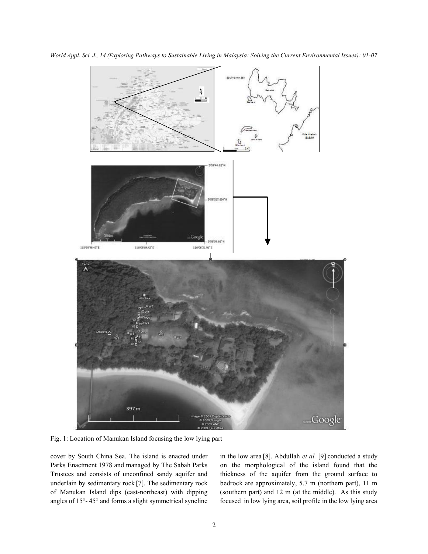

*World Appl. Sci. J., 14 (Exploring Pathways to Sustainable Living in Malaysia: Solving the Current Environmental Issues): 01-07*

Fig. 1: Location of Manukan Island focusing the low lying part

cover by South China Sea. The island is enacted under in the low area [8]. Abdullah *et al.* [9] conducted a study Parks Enactment 1978 and managed by The Sabah Parks on the morphological of the island found that the Trustees and consists of unconfined sandy aquifer and thickness of the aquifer from the ground surface to underlain by sedimentary rock [7]. The sedimentary rock bedrock are approximately, 5.7 m (northern part), 11 m of Manukan Island dips (east-northeast) with dipping (southern part) and 12 m (at the middle). As this study angles of 15°- 45° and forms a slight symmetrical syncline focused in low lying area, soil profile in the low lying area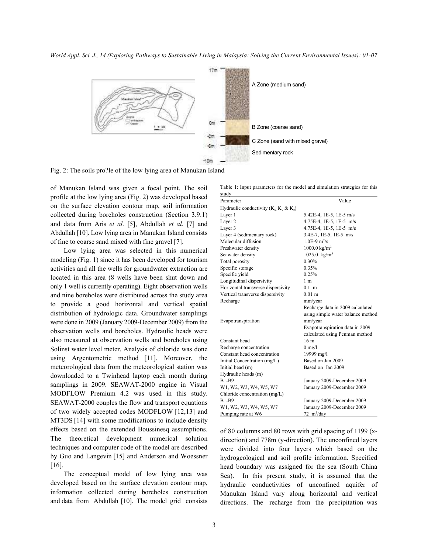*World Appl. Sci. J., 14 (Exploring Pathways to Sustainable Living in Malaysia: Solving the Current Environmental Issues): 01-07*



Fig. 2: The soils pro?le of the low lying area of Manukan Island

of Manukan Island was given a focal point. The soil profile at the low lying area (Fig. 2) was developed based on the surface elevation contour map, soil information collected during boreholes construction (Section 3.9.1) and data from Aris *et al.* [5], Abdullah *et al.* [7] and Abdullah [10]. Low lying area in Manukan Island consists of fine to coarse sand mixed with fine gravel [7].

Low lying area was selected in this numerical modeling (Fig. 1) since it has been developed for tourism activities and all the wells for groundwater extraction are located in this area (8 wells have been shut down and only 1 well is currently operating). Eight observation wells and nine boreholes were distributed across the study area to provide a good horizontal and vertical spatial distribution of hydrologic data. Groundwater samplings were done in 2009 (January 2009-December 2009) from the observation wells and boreholes. Hydraulic heads were also measured at observation wells and boreholes using Solinst water level meter. Analysis of chloride was done using Argentometric method [11]. Moreover, the meteorological data from the meteorological station was downloaded to a Twinhead laptop each month during samplings in 2009. SEAWAT-2000 engine in Visual MODFLOW Premium 4.2 was used in this study. SEAWAT-2000 couples the flow and transport equations of two widely accepted codes MODFLOW [12,13] and MT3DS [14] with some modifications to include density effects based on the extended Boussinesq assumptions. The theoretical development numerical solution techniques and computer code of the model are described by Guo and Langevin [15] and Anderson and Woessner [16].

The conceptual model of low lying area was developed based on the surface elevation contour map, information collected during boreholes construction and data from Abdullah [10]. The model grid consists

Table 1: Input parameters for the model and simulation strategies for this study

| Parameter                                 | Value                             |
|-------------------------------------------|-----------------------------------|
| Hydraulic conductivity $(K_x, K_y & K_z)$ |                                   |
| Laver 1                                   | 5.42E-4, 1E-5, 1E-5 m/s           |
| Layer 2                                   | 4.75E-4, 1E-5, 1E-5 m/s           |
| Layer 3                                   | 4.75E-4, 1E-5, 1E-5 m/s           |
| Layer 4 (sedimentary rock)                | 3.4E-7, 1E-5, 1E-5 m/s            |
| Molecular diffusion                       | $1.0E-9$ m <sup>2</sup> /s        |
| Freshwater density                        | $1000.0 \text{ kg/m}^3$           |
| Seawater density                          | $1025.0 \text{ kg/m}^3$           |
| Total porosity                            | 0.30%                             |
| Specific storage                          | 0.35%                             |
| Specific yield                            | 0.25%                             |
| Longitudinal dispersivity                 | 1 <sub>m</sub>                    |
| Horizontal transverse dispersivity        | $01$ m                            |
| Vertical transverse dispersivity          | $0.01$ m                          |
| Recharge                                  | mm/year                           |
|                                           | Recharge data in 2009 calculated  |
|                                           | using simple water balance method |
| Evapotranspiration                        | mm/year                           |
|                                           | Evapotranspiration data in 2009   |
|                                           | calculated using Penman method    |
| Constant head                             | 16 <sub>m</sub>                   |
| Recharge concentration                    | $0 \text{ mg/l}$                  |
| Constant head concentration               | 19999 mg/l                        |
| Initial Concentration (mg/L)              | Based on Jan 2009                 |
| Initial head (m)                          | Based on Jan 2009                 |
| Hydraulic heads (m)                       |                                   |
| <b>B1-B9</b>                              | January 2009-December 2009        |
| W1, W2, W3, W4, W5, W7                    | January 2009-December 2009        |
| Chloride concentration (mg/L)             |                                   |
| <b>B1-B9</b>                              | January 2009-December 2009        |
| W1, W2, W3, W4, W5, W7                    | January 2009-December 2009        |
| Pumping rate at W6                        | $72 \text{ m}^3/\text{day}$       |

of 80 columns and 80 rows with grid spacing of 1199 (xdirection) and 778m (y-direction). The unconfined layers were divided into four layers which based on the hydrogeological and soil profile information. Specified head boundary was assigned for the sea (South China Sea). In this present study, it is assumed that the hydraulic conductivities of unconfined aquifer of Manukan Island vary along horizontal and vertical directions. The recharge from the precipitation was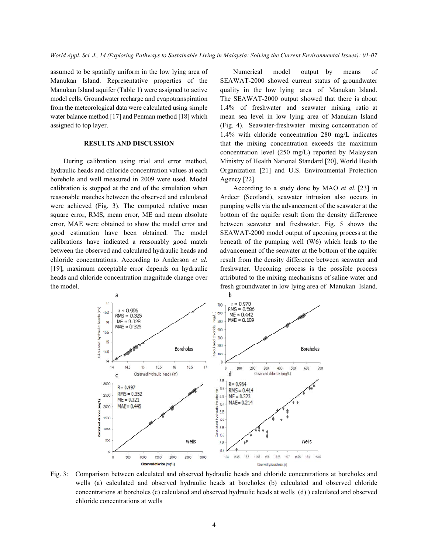Manukan Island. Representative properties of the SEAWAT-2000 showed current status of groundwater Manukan Island aquifer (Table 1) were assigned to active quality in the low lying area of Manukan Island. model cells. Groundwater recharge and evapotranspiration The SEAWAT-2000 output showed that there is about from the meteorological data were calculated using simple 1.4% of freshwater and seawater mixing ratio at water balance method [17] and Penman method [18] which mean sea level in low lying area of Manukan Island assigned to top layer. (Fig. 4). Seawater-freshwater mixing concentration of

hydraulic heads and chloride concentration values at each Organization [21] and U.S. Environmental Protection borehole and well measured in 2009 were used. Model Agency [22]. calibration is stopped at the end of the simulation when According to a study done by MAO *et al.* [23] in reasonable matches between the observed and calculated Ardeer (Scotland), seawater intrusion also occurs in were achieved (Fig. 3). The computed relative mean pumping wells via the advancement of the seawater at the square error, RMS, mean error, ME and mean absolute bottom of the aquifer result from the density difference error, MAE were obtained to show the model error and between seawater and freshwater. Fig. 5 shows the good estimation have been obtained. The model SEAWAT-2000 model output of upconing process at the calibrations have indicated a reasonably good match beneath of the pumping well (W6) which leads to the between the observed and calculated hydraulic heads and advancement of the seawater at the bottom of the aquifer chloride concentrations. According to Anderson *et al.* result from the density difference between seawater and [19], maximum acceptable error depends on hydraulic freshwater. Upconing process is the possible process heads and chloride concentration magnitude change over attributed to the mixing mechanisms of saline water and the model. fresh groundwater in low lying area of Manukan Island.

assumed to be spatially uniform in the low lying area of Numerical model output by means of **RESULTS AND DISCUSSION** that the mixing concentration exceeds the maximum During calibration using trial and error method, Ministry of Health National Standard [20], World Health 1.4% with chloride concentration 280 mg/L indicates concentration level (250 mg/L) reported by Malaysian



Fig. 3: Comparison between calculated and observed hydraulic heads and chloride concentrations at boreholes and wells (a) calculated and observed hydraulic heads at boreholes (b) calculated and observed chloride concentrations at boreholes (c) calculated and observed hydraulic heads at wells (d) ) calculated and observed chloride concentrations at wells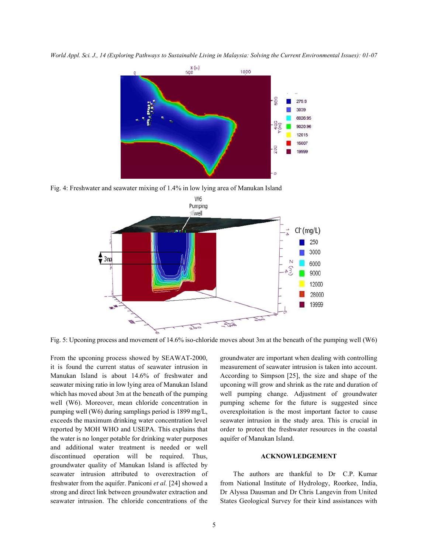*World Appl. Sci. J., 14 (Exploring Pathways to Sustainable Living in Malaysia: Solving the Current Environmental Issues): 01-07*



Fig. 4: Freshwater and seawater mixing of 1.4% in low lying area of Manukan Island



Fig. 5: Upconing process and movement of 14.6% iso-chloride moves about 3m at the beneath of the pumping well (W6)

it is found the current status of seawater intrusion in measurement of seawater intrusion is taken into account. Manukan Island is about 14.6% of freshwater and According to Simpson [25], the size and shape of the seawater mixing ratio in low lying area of Manukan Island upconing will grow and shrink as the rate and duration of which has moved about 3m at the beneath of the pumping well pumping change. Adjustment of groundwater well (W6). Moreover, mean chloride concentration in pumping scheme for the future is suggested since pumping well (W6) during samplings period is 1899 mg/L, overexploitation is the most important factor to cause exceeds the maximum drinking water concentration level seawater intrusion in the study area. This is crucial in reported by MOH WHO and USEPA. This explains that order to protect the freshwater resources in the coastal the water is no longer potable for drinking water purposes aquifer of Manukan Island. and additional water treatment is needed or well discontinued operation will be required. Thus, **ACKNOWLEDGEMENT** groundwater quality of Manukan Island is affected by seawater intrusion attributed to overextraction of The authors are thankful to Dr C.P. Kumar freshwater from the aquifer. Paniconi *et al.* [24] showed a from National Institute of Hydrology, Roorkee, India, strong and direct link between groundwater extraction and Dr Alyssa Dausman and Dr Chris Langevin from United seawater intrusion. The chloride concentrations of the States Geological Survey for their kind assistances with

From the upconing process showed by SEAWAT-2000, groundwater are important when dealing with controlling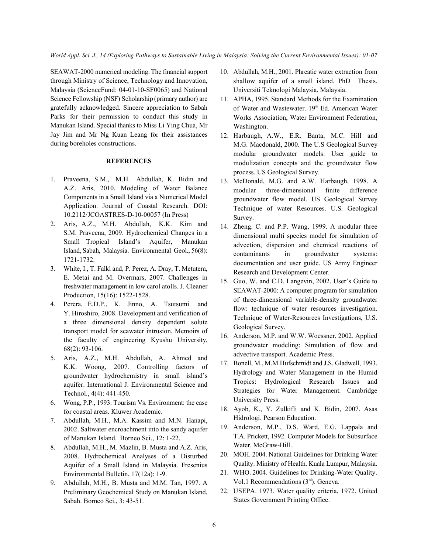through Ministry of Science, Technology and Innovation, Malaysia (ScienceFund: 04-01-10-SF0065) and National Science Fellowship (NSF) Scholarship (primary author) are gratefully acknowledged. Sincere appreciation to Sabah Parks for their permission to conduct this study in Manukan Island. Special thanks to Miss Li Ying Chua, Mr Jay Jim and Mr Ng Kuan Leang for their assistances during boreholes constructions.

## **REFERENCES**

- 1. Praveena, S.M., M.H. Abdullah, K. Bidin and A.Z. Aris, 2010. Modeling of Water Balance Components in a Small Island via a Numerical Model Application. Journal of Coastal Research. DOI: 10.2112/JCOASTRES-D-10-00057 (In Press)
- 2. Aris, A.Z., M.H. Abdullah, K.K. Kim and S.M. Praveena, 2009. Hydrochemical Changes in a Small Tropical Island's Aquifer, Manukan Island, Sabah, Malaysia. Environmental Geol., 56(8): 1721-1732.
- 3. White, I., T. Falkl and, P. Perez, A. Dray, T. Metutera, E. Metai and M. Overmars, 2007. Challenges in freshwater management in low carol atolls. J. Cleaner Production, 15(16): 1522-1528.
- 4. Perera, E.D.P., K. Jinno, A. Tsutsumi and Y. Hiroshiro, 2008. Development and verification of a three dimensional density dependent solute transport model for seawater intrusion. Memoirs of the faculty of engineering Kyushu University, 68(2): 93-106.
- 5. Aris, A.Z., M.H. Abdullah, A. Ahmed and K.K. Woong, 2007. Controlling factors of groundwater hydrochemistry in small island's aquifer. International J. Environmental Science and Technol., 4(4): 441-450.
- 6. Wong, P.P., 1993. Tourism Vs. Environment: the case for coastal areas. Kluwer Academic.
- 7. Abdullah, M.H., M.A. Kassim and M.N. Hanapi, 2002. Saltwater encroachment into the sandy aquifer of Manukan Island. Borneo Sci., 12: 1-22.
- 8. Abdullah, M.H., M. Mazlin, B. Musta and A.Z. Aris, 2008. Hydrochemical Analyses of a Disturbed Aquifer of a Small Island in Malaysia. Fresenius Environmental Bulletin, 17(12a): 1-9.
- 9. Abdullah, M.H., B. Musta and M.M. Tan, 1997. A Preliminary Geochemical Study on Manukan Island, Sabah. Borneo Sci., 3: 43-51.
- SEAWAT-2000 numerical modeling. The financial support 10. Abdullah, M.H., 2001. Phreatic water extraction from shallow aquifer of a small island. PhD Thesis. Universiti Teknologi Malaysia, Malaysia.
	- 11. APHA, 1995. Standard Methods for the Examination of Water and Wastewater. 19th Ed. American Water Works Association, Water Environment Federation, Washington.
	- 12. Harbaugh, A.W., E.R. Banta, M.C. Hill and M.G. Macdonald, 2000. The U.S Geological Survey modular groundwater models: User guide to modulization concepts and the groundwater flow process. US Geological Survey.
	- 13. McDonald, M.G. and A.W. Harbaugh, 1998. A modular three-dimensional finite difference groundwater flow model. US Geological Survey Technique of water Resources. U.S. Geological Survey.
	- 14. Zheng. C. and P.P. Wang, 1999. A modular three dimensional multi species model for simulation of advection, dispersion and chemical reactions of contaminants in groundwater systems: documentation and user guide. US Army Engineer Research and Development Center.
	- 15. Guo, W. and C.D. Langevin, 2002. User's Guide to SEAWAT-2000: A computer program for simulation of three-dimensional variable-density groundwater flow: technique of water resources investigation. Technique of Water-Resources Investigations, U.S. Geological Survey.
	- 16. Anderson, M.P. and W.W. Woessner, 2002. Applied groundwater modeling: Simulation of flow and advective transport. Academic Press.
	- 17. Bonell, M., M.M.Hufschmidt and J.S. Gladwell, 1993. Hydrology and Water Management in the Humid Tropics: Hydrological Research Issues and Strategies for Water Management. Cambridge University Press.
	- 18. Ayob, K., Y. Zulkifli and K. Bidin, 2007. Asas Hidrologi. Pearson Education.
	- 19. Anderson, M.P., D.S. Ward, E.G. Lappala and T.A. Prickett, 1992. Computer Models for Subsurface Water. McGraw-Hill.
	- 20. MOH. 2004. National Guidelines for Drinking Water Quality. Ministry of Health. Kuala Lumpur, Malaysia.
	- 21. WHO. 2004. Guidelines for Drinking-Water Quality. Vol.1 Recommendations  $(3<sup>rd</sup>)$ . Geneva.
	- 22. USEPA. 1973. Water quality criteria, 1972. United States Government Printing Office.